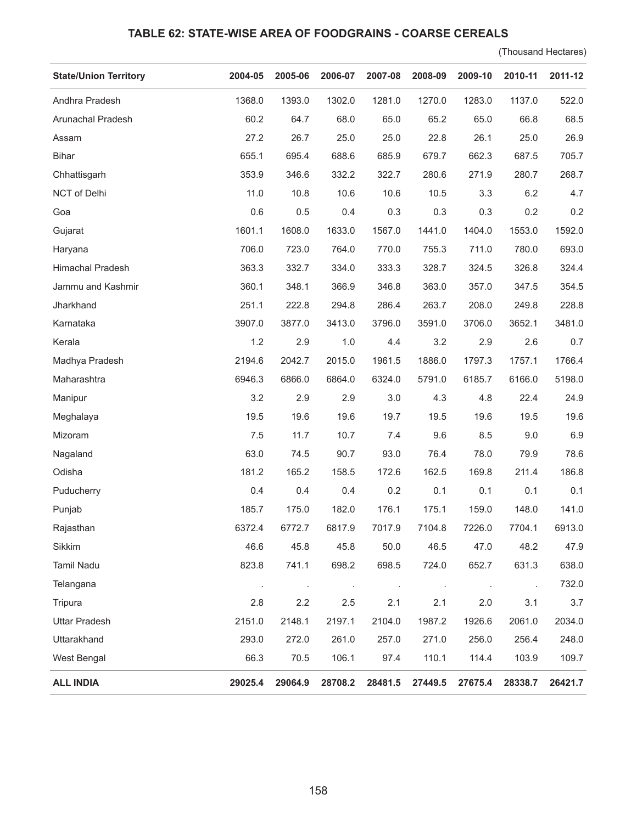## **TABLE 62: STATE-WISE AREA OF FOODGRAINS - COARSE CEREALS**

(Thousand Hectares)

| <b>State/Union Territory</b> | 2004-05 | 2005-06 | 2006-07        | 2007-08 | 2008-09              | 2009-10 | 2010-11 | 2011-12 |
|------------------------------|---------|---------|----------------|---------|----------------------|---------|---------|---------|
| Andhra Pradesh               | 1368.0  | 1393.0  | 1302.0         | 1281.0  | 1270.0               | 1283.0  | 1137.0  | 522.0   |
| Arunachal Pradesh            | 60.2    | 64.7    | 68.0           | 65.0    | 65.2                 | 65.0    | 66.8    | 68.5    |
| Assam                        | 27.2    | 26.7    | 25.0           | 25.0    | 22.8                 | 26.1    | 25.0    | 26.9    |
| <b>Bihar</b>                 | 655.1   | 695.4   | 688.6          | 685.9   | 679.7                | 662.3   | 687.5   | 705.7   |
| Chhattisgarh                 | 353.9   | 346.6   | 332.2          | 322.7   | 280.6                | 271.9   | 280.7   | 268.7   |
| NCT of Delhi                 | 11.0    | 10.8    | 10.6           | 10.6    | 10.5                 | 3.3     | 6.2     | 4.7     |
| Goa                          | 0.6     | 0.5     | 0.4            | 0.3     | 0.3                  | 0.3     | 0.2     | 0.2     |
| Gujarat                      | 1601.1  | 1608.0  | 1633.0         | 1567.0  | 1441.0               | 1404.0  | 1553.0  | 1592.0  |
| Haryana                      | 706.0   | 723.0   | 764.0          | 770.0   | 755.3                | 711.0   | 780.0   | 693.0   |
| Himachal Pradesh             | 363.3   | 332.7   | 334.0          | 333.3   | 328.7                | 324.5   | 326.8   | 324.4   |
| Jammu and Kashmir            | 360.1   | 348.1   | 366.9          | 346.8   | 363.0                | 357.0   | 347.5   | 354.5   |
| Jharkhand                    | 251.1   | 222.8   | 294.8          | 286.4   | 263.7                | 208.0   | 249.8   | 228.8   |
| Karnataka                    | 3907.0  | 3877.0  | 3413.0         | 3796.0  | 3591.0               | 3706.0  | 3652.1  | 3481.0  |
| Kerala                       | 1.2     | 2.9     | 1.0            | 4.4     | 3.2                  | 2.9     | 2.6     | 0.7     |
| Madhya Pradesh               | 2194.6  | 2042.7  | 2015.0         | 1961.5  | 1886.0               | 1797.3  | 1757.1  | 1766.4  |
| Maharashtra                  | 6946.3  | 6866.0  | 6864.0         | 6324.0  | 5791.0               | 6185.7  | 6166.0  | 5198.0  |
| Manipur                      | 3.2     | 2.9     | 2.9            | 3.0     | 4.3                  | 4.8     | 22.4    | 24.9    |
| Meghalaya                    | 19.5    | 19.6    | 19.6           | 19.7    | 19.5                 | 19.6    | 19.5    | 19.6    |
| Mizoram                      | 7.5     | 11.7    | 10.7           | 7.4     | 9.6                  | 8.5     | 9.0     | 6.9     |
| Nagaland                     | 63.0    | 74.5    | 90.7           | 93.0    | 76.4                 | 78.0    | 79.9    | 78.6    |
| Odisha                       | 181.2   | 165.2   | 158.5          | 172.6   | 162.5                | 169.8   | 211.4   | 186.8   |
| Puducherry                   | 0.4     | 0.4     | 0.4            | 0.2     | 0.1                  | 0.1     | 0.1     | 0.1     |
| Punjab                       | 185.7   | 175.0   | 182.0          | 176.1   | 175.1                | 159.0   | 148.0   | 141.0   |
| Rajasthan                    | 6372.4  | 6772.7  | 6817.9         | 7017.9  | 7104.8               | 7226.0  | 7704.1  | 6913.0  |
| Sikkim                       | 46.6    | 45.8    | 45.8           | 50.0    | 46.5                 | 47.0    | 48.2    | 47.9    |
| <b>Tamil Nadu</b>            | 823.8   | 741.1   | 698.2          | 698.5   | 724.0                | 652.7   | 631.3   | 638.0   |
| Telangana                    | $\cdot$ |         | $\blacksquare$ | $\cdot$ | $\ddot{\phantom{a}}$ | $\cdot$ | $\cdot$ | 732.0   |
| Tripura                      | 2.8     | 2.2     | 2.5            | 2.1     | 2.1                  | 2.0     | 3.1     | 3.7     |
| <b>Uttar Pradesh</b>         | 2151.0  | 2148.1  | 2197.1         | 2104.0  | 1987.2               | 1926.6  | 2061.0  | 2034.0  |
| Uttarakhand                  | 293.0   | 272.0   | 261.0          | 257.0   | 271.0                | 256.0   | 256.4   | 248.0   |
| West Bengal                  | 66.3    | 70.5    | 106.1          | 97.4    | 110.1                | 114.4   | 103.9   | 109.7   |
| <b>ALL INDIA</b>             | 29025.4 | 29064.9 | 28708.2        | 28481.5 | 27449.5              | 27675.4 | 28338.7 | 26421.7 |